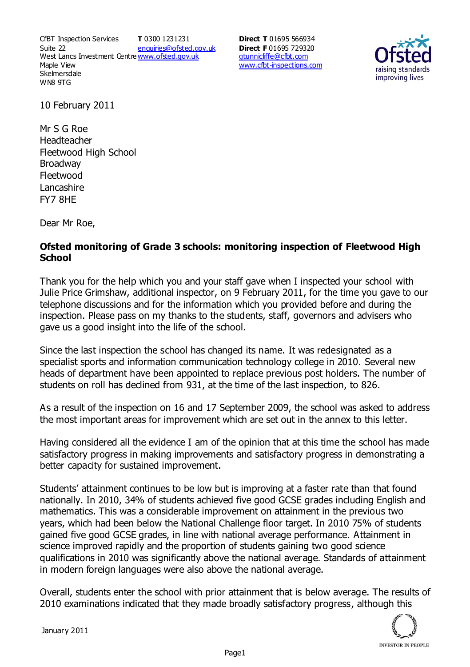CfBT Inspection Services Suite 22 West Lancs Investment Centre<u>www.ofsted.gov.uk</u> Maple View **Skelmersdale** WN8 9TG **T** 0300 1231231 enquiries@ofsted.gov.uk **Direct T** 01695 566934 **Direct F** 01695 729320 gtunnicliffe@cfbt.com www.cfbt-inspections.com



10 February 2011

Mr S G Roe Headteacher Fleetwood High School Broadway Fleetwood Lancashire FY7 8HE

Dear Mr Roe,

## **Ofsted monitoring of Grade 3 schools: monitoring inspection of Fleetwood High School**

Thank you for the help which you and your staff gave when I inspected your school with Julie Price Grimshaw, additional inspector, on 9 February 2011, for the time you gave to our telephone discussions and for the information which you provided before and during the inspection. Please pass on my thanks to the students, staff, governors and advisers who gave us a good insight into the life of the school.

Since the last inspection the school has changed its name. It was redesignated as a specialist sports and information communication technology college in 2010. Several new heads of department have been appointed to replace previous post holders. The number of students on roll has declined from 931, at the time of the last inspection, to 826.

As a result of the inspection on 16 and 17 September 2009, the school was asked to address the most important areas for improvement which are set out in the annex to this letter.

Having considered all the evidence I am of the opinion that at this time the school has made satisfactory progress in making improvements and satisfactory progress in demonstrating a better capacity for sustained improvement.

Students' attainment continues to be low but is improving at a faster rate than that found nationally. In 2010, 34% of students achieved five good GCSE grades including English and mathematics. This was a considerable improvement on attainment in the previous two years, which had been below the National Challenge floor target. In 2010 75% of students gained five good GCSE grades, in line with national average performance. Attainment in science improved rapidly and the proportion of students gaining two good science qualifications in 2010 was significantly above the national average. Standards of attainment in modern foreign languages were also above the national average.

Overall, students enter the school with prior attainment that is below average. The results of 2010 examinations indicated that they made broadly satisfactory progress, although this

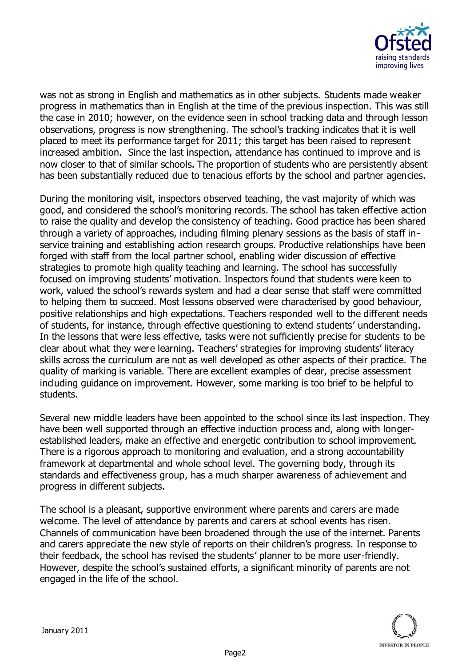

was not as strong in English and mathematics as in other subjects. Students made weaker progress in mathematics than in English at the time of the previous inspection. This was still the case in 2010; however, on the evidence seen in school tracking data and through lesson observations, progress is now strengthening. The school's tracking indicates that it is well placed to meet its performance target for 2011; this target has been raised to represent increased ambition. Since the last inspection, attendance has continued to improve and is now closer to that of similar schools. The proportion of students who are persistently absent has been substantially reduced due to tenacious efforts by the school and partner agencies.

During the monitoring visit, inspectors observed teaching, the vast majority of which was good, and considered the school's monitoring records. The school has taken effective action to raise the quality and develop the consistency of teaching. Good practice has been shared through a variety of approaches, including filming plenary sessions as the basis of staff inservice training and establishing action research groups. Productive relationships have been forged with staff from the local partner school, enabling wider discussion of effective strategies to promote high quality teaching and learning. The school has successfully focused on improving students' motivation. Inspectors found that students were keen to work, valued the school's rewards system and had a clear sense that staff were committed to helping them to succeed. Most lessons observed were characterised by good behaviour, positive relationships and high expectations. Teachers responded well to the different needs of students, for instance, through effective questioning to extend students' understanding. In the lessons that were less effective, tasks were not sufficiently precise for students to be clear about what they were learning. Teachers' strategies for improving students' literacy skills across the curriculum are not as well developed as other aspects of their practice. The quality of marking is variable. There are excellent examples of clear, precise assessment including guidance on improvement. However, some marking is too brief to be helpful to students.

Several new middle leaders have been appointed to the school since its last inspection. They have been well supported through an effective induction process and, along with longerestablished leaders, make an effective and energetic contribution to school improvement. There is a rigorous approach to monitoring and evaluation, and a strong accountability framework at departmental and whole school level. The governing body, through its standards and effectiveness group, has a much sharper awareness of achievement and progress in different subjects.

The school is a pleasant, supportive environment where parents and carers are made welcome. The level of attendance by parents and carers at school events has risen. Channels of communication have been broadened through the use of the internet. Parents and carers appreciate the new style of reports on their children's progress. In response to their feedback, the school has revised the students' planner to be more user-friendly. However, despite the school's sustained efforts, a significant minority of parents are not engaged in the life of the school.

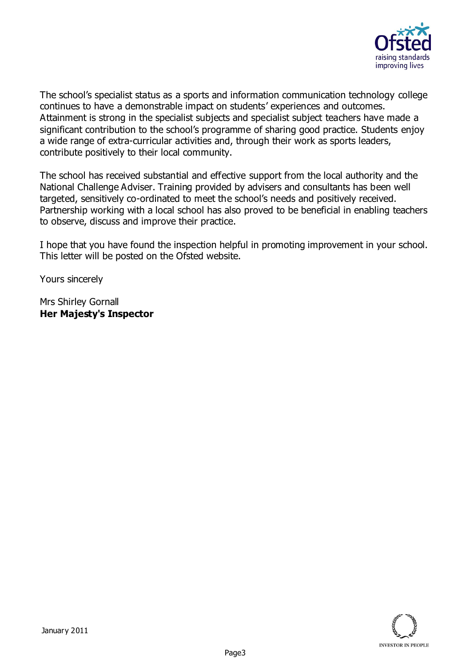

The school's specialist status as a sports and information communication technology college continues to have a demonstrable impact on students' experiences and outcomes. Attainment is strong in the specialist subjects and specialist subject teachers have made a significant contribution to the school's programme of sharing good practice. Students enjoy a wide range of extra-curricular activities and, through their work as sports leaders, contribute positively to their local community.

The school has received substantial and effective support from the local authority and the National Challenge Adviser. Training provided by advisers and consultants has been well targeted, sensitively co-ordinated to meet the school's needs and positively received. Partnership working with a local school has also proved to be beneficial in enabling teachers to observe, discuss and improve their practice.

I hope that you have found the inspection helpful in promoting improvement in your school. This letter will be posted on the Ofsted website.

Yours sincerely

Mrs Shirley Gornall **Her Majesty's Inspector**